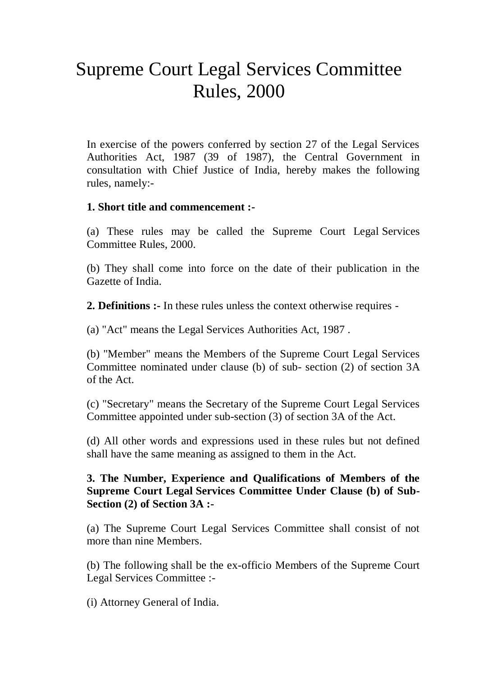# Supreme Court Legal Services Committee Rules, 2000

In exercise of the powers conferred by section 27 of the Legal Services Authorities Act, 1987 (39 of 1987), the Central Government in consultation with Chief Justice of India, hereby makes the following rules, namely:-

#### **1. Short title and commencement :-**

(a) These rules may be called the Supreme Court Legal Services Committee Rules, 2000.

(b) They shall come into force on the date of their publication in the Gazette of India.

**2. Definitions :-** In these rules unless the context otherwise requires -

(a) "Act" means the Legal Services Authorities Act, 1987 .

(b) "Member" means the Members of the Supreme Court Legal Services Committee nominated under clause (b) of sub- section (2) of section 3A of the Act.

(c) "Secretary" means the Secretary of the Supreme Court Legal Services Committee appointed under sub-section (3) of section 3A of the Act.

(d) All other words and expressions used in these rules but not defined shall have the same meaning as assigned to them in the Act.

### **3. The Number, Experience and Qualifications of Members of the Supreme Court Legal Services Committee Under Clause (b) of Sub-Section (2) of Section 3A :-**

(a) The Supreme Court Legal Services Committee shall consist of not more than nine Members.

(b) The following shall be the ex-officio Members of the Supreme Court Legal Services Committee :-

(i) Attorney General of India.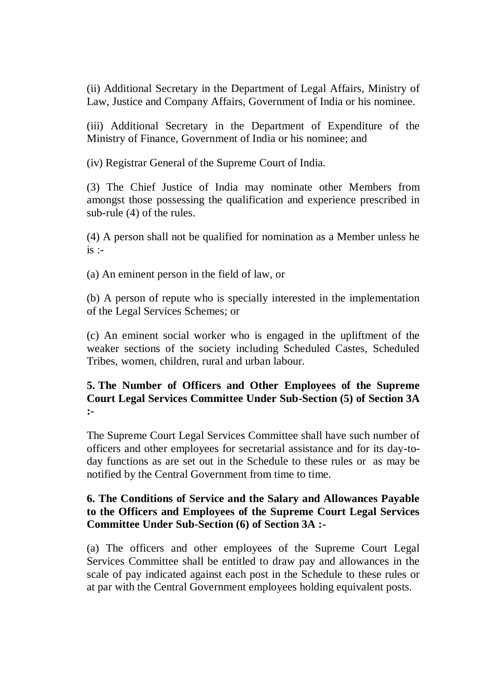(ii) Additional Secretary in the Department of Legal Affairs, Ministry of Law, Justice and Company Affairs, Government of India or his nominee.

(iii) Additional Secretary in the Department of Expenditure of the Ministry of Finance, Government of India or his nominee; and

(iv) Registrar General of the Supreme Court of India.

(3) The Chief Justice of India may nominate other Members from amongst those possessing the qualification and experience prescribed in sub-rule (4) of the rules.

(4) A person shall not be qualified for nomination as a Member unless he  $is$  :-

(a) An eminent person in the field of law, or

(b) A person of repute who is specially interested in the implementation of the Legal Services Schemes; or

(c) An eminent social worker who is engaged in the upliftment of the weaker sections of the society including Scheduled Castes, Scheduled Tribes, women, children, rural and urban labour.

### **5. The Number of Officers and Other Employees of the Supreme Court Legal Services Committee Under Sub-Section (5) of Section 3A :-**

The Supreme Court Legal Services Committee shall have such number of officers and other employees for secretarial assistance and for its day-today functions as are set out in the Schedule to these rules or as may be notified by the Central Government from time to time.

### **6. The Conditions of Service and the Salary and Allowances Payable to the Officers and Employees of the Supreme Court Legal Services Committee Under Sub-Section (6) of Section 3A :-**

(a) The officers and other employees of the Supreme Court Legal Services Committee shall be entitled to draw pay and allowances in the scale of pay indicated against each post in the Schedule to these rules or at par with the Central Government employees holding equivalent posts.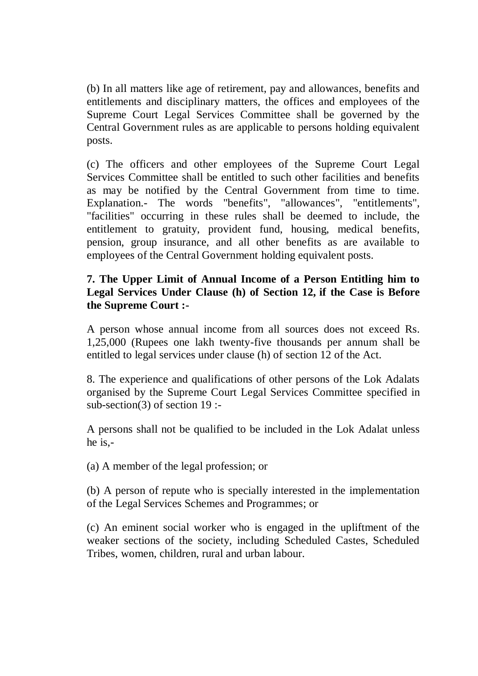(b) In all matters like age of retirement, pay and allowances, benefits and entitlements and disciplinary matters, the offices and employees of the Supreme Court Legal Services Committee shall be governed by the Central Government rules as are applicable to persons holding equivalent posts.

(c) The officers and other employees of the Supreme Court Legal Services Committee shall be entitled to such other facilities and benefits as may be notified by the Central Government from time to time. Explanation.- The words "benefits", "allowances", "entitlements", "facilities" occurring in these rules shall be deemed to include, the entitlement to gratuity, provident fund, housing, medical benefits, pension, group insurance, and all other benefits as are available to employees of the Central Government holding equivalent posts.

### **7. The Upper Limit of Annual Income of a Person Entitling him to Legal Services Under Clause (h) of Section 12, if the Case is Before the Supreme Court :-**

A person whose annual income from all sources does not exceed Rs. 1,25,000 (Rupees one lakh twenty-five thousands per annum shall be entitled to legal services under clause (h) of section 12 of the Act.

8. The experience and qualifications of other persons of the Lok Adalats organised by the Supreme Court Legal Services Committee specified in sub-section(3) of section 19 :-

A persons shall not be qualified to be included in the Lok Adalat unless he is,-

(a) A member of the legal profession; or

(b) A person of repute who is specially interested in the implementation of the Legal Services Schemes and Programmes; or

(c) An eminent social worker who is engaged in the upliftment of the weaker sections of the society, including Scheduled Castes, Scheduled Tribes, women, children, rural and urban labour.